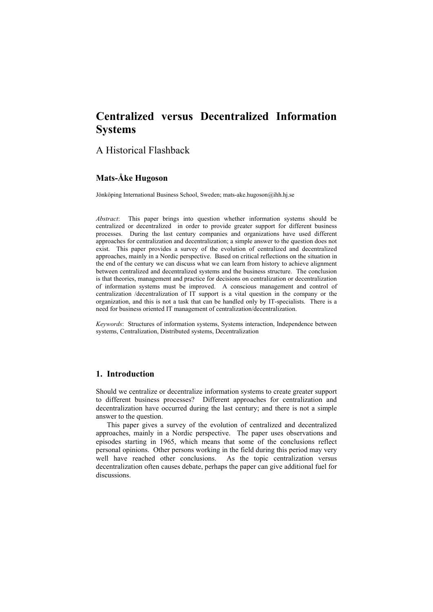# **Centralized versus Decentralized Information Systems**

## A Historical Flashback

## **Mats-Åke Hugoson**

Jönköping International Business School, Sweden; mats-ake.hugoson@ihh.hj.se

*Abstract*: This paper brings into question whether information systems should be centralized or decentralized in order to provide greater support for different business processes. During the last century companies and organizations have used different approaches for centralization and decentralization; a simple answer to the question does not exist. This paper provides a survey of the evolution of centralized and decentralized approaches, mainly in a Nordic perspective. Based on critical reflections on the situation in the end of the century we can discuss what we can learn from history to achieve alignment between centralized and decentralized systems and the business structure. The conclusion is that theories, management and practice for decisions on centralization or decentralization of information systems must be improved. A conscious management and control of centralization /decentralization of IT support is a vital question in the company or the organization, and this is not a task that can be handled only by IT-specialists. There is a need for business oriented IT management of centralization/decentralization.

*Keywords*: Structures of information systems, Systems interaction, Independence between systems, Centralization, Distributed systems, Decentralization

## **1. Introduction**

Should we centralize or decentralize information systems to create greater support to different business processes? Different approaches for centralization and decentralization have occurred during the last century; and there is not a simple answer to the question.

This paper gives a survey of the evolution of centralized and decentralized approaches, mainly in a Nordic perspective. The paper uses observations and episodes starting in 1965, which means that some of the conclusions reflect personal opinions. Other persons working in the field during this period may very well have reached other conclusions. As the topic centralization versus decentralization often causes debate, perhaps the paper can give additional fuel for discussions.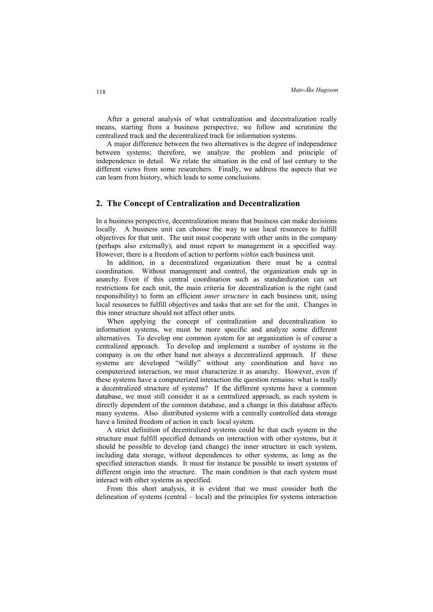After a general analysis of what centralization and decentralization really means, starting from a business perspective, we follow and scrutinize the centralized track and the decentralized track for information systems.

A major difference between the two alternatives is the degree of independence between systems; therefore, we analyze the problem and principle of independence in detail. We relate the situation in the end of last century to the different views from some researchers. Finally, we address the aspects that we can learn from history, which leads to some conclusions.

#### **2. The Concept of Centralization and Decentralization**

In a business perspective, decentralization means that business can make decisions locally. A business unit can choose the way to use local resources to fulfill objectives for that unit. The unit must cooperate with other units in the company (perhaps also externally), and must report to management in a specified way. However, there is a freedom of action to perform *within* each business unit.

In addition, in a decentralized organization there must be a central coordination. Without management and control, the organization ends up in anarchy. Even if this central coordination such as standardization can set restrictions for each unit, the main criteria for decentralization is the right (and responsibility) to form an efficient *inner structure* in each business unit, using local resources to fulfill objectives and tasks that are set for the unit. Changes in this inner structure should not affect other units.

When applying the concept of centralization and decentralization to information systems, we must be more specific and analyze some different alternatives. To develop one common system for an organization is of course a centralized approach. To develop and implement a number of systems in the company is on the other hand not always a decentralized approach. If these systems are developed "wildly" without any coordination and have no computerized interaction, we must characterize it as anarchy. However, even if these systems have a computerized interaction the question remains: what is really a decentralized structure of systems? If the different systems have a common database, we must still consider it as a centralized approach, as each system is directly dependent of the common database, and a change in this database affects many systems. Also distributed systems with a centrally controlled data storage have a limited freedom of action in each local system.

A strict definition of decentralized systems could be that each system in the structure must fulfill specified demands on interaction with other systems, but it should be possible to develop (and change) the inner structure in each system, including data storage, without dependences to other systems, as long as the specified interaction stands. It must for instance be possible to insert systems of different origin into the structure. The main condition is that each system must interact with other systems as specified.

From this short analysis, it is evident that we must consider both the delineation of systems (central – local) and the principles for systems interaction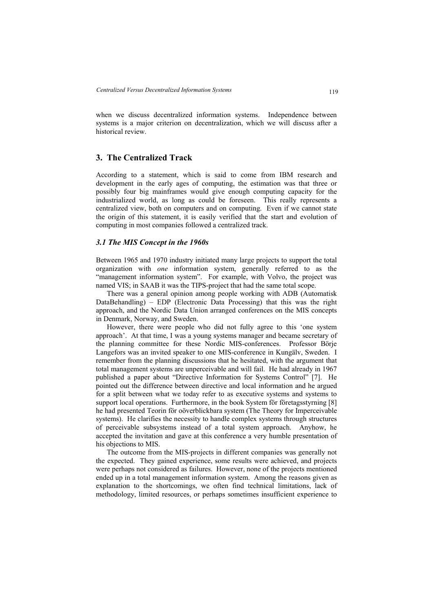when we discuss decentralized information systems. Independence between systems is a major criterion on decentralization, which we will discuss after a historical review.

#### **3. The Centralized Track**

According to a statement, which is said to come from IBM research and development in the early ages of computing, the estimation was that three or possibly four big mainframes would give enough computing capacity for the industrialized world, as long as could be foreseen. This really represents a centralized view, both on computers and on computing. Even if we cannot state the origin of this statement, it is easily verified that the start and evolution of computing in most companies followed a centralized track.

#### *3.1 The MIS Concept in the 1960s*

Between 1965 and 1970 industry initiated many large projects to support the total organization with *one* information system, generally referred to as the "management information system". For example, with Volvo, the project was named VIS; in SAAB it was the TIPS-project that had the same total scope.

There was a general opinion among people working with ADB (Automatisk DataBehandling) – EDP (Electronic Data Processing) that this was the right approach, and the Nordic Data Union arranged conferences on the MIS concepts in Denmark, Norway, and Sweden.

However, there were people who did not fully agree to this 'one system approach'. At that time, I was a young systems manager and became secretary of the planning committee for these Nordic MIS-conferences. Professor Börje Langefors was an invited speaker to one MIS-conference in Kungälv, Sweden. I remember from the planning discussions that he hesitated, with the argument that total management systems are unperceivable and will fail. He had already in 1967 published a paper about "Directive Information for Systems Control" [7]. He pointed out the difference between directive and local information and he argued for a split between what we today refer to as executive systems and systems to support local operations. Furthermore, in the book System för företagsstyrning [8] he had presented Teorin för oöverblickbara system (The Theory for Imperceivable systems). He clarifies the necessity to handle complex systems through structures of perceivable subsystems instead of a total system approach. Anyhow, he accepted the invitation and gave at this conference a very humble presentation of his objections to MIS.

The outcome from the MIS-projects in different companies was generally not the expected. They gained experience, some results were achieved, and projects were perhaps not considered as failures. However, none of the projects mentioned ended up in a total management information system. Among the reasons given as explanation to the shortcomings, we often find technical limitations, lack of methodology, limited resources, or perhaps sometimes insufficient experience to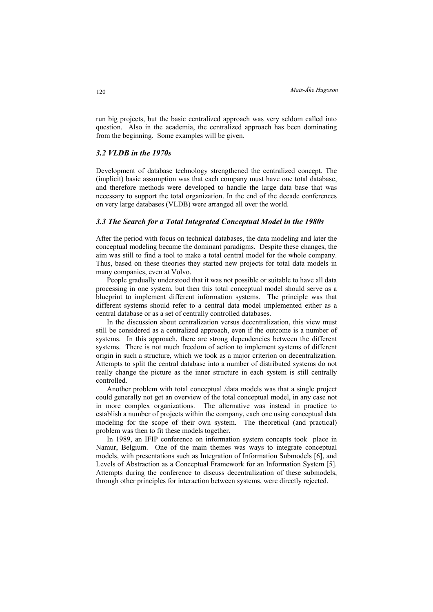run big projects, but the basic centralized approach was very seldom called into question. Also in the academia, the centralized approach has been dominating from the beginning. Some examples will be given.

#### *3.2 VLDB in the 1970s*

Development of database technology strengthened the centralized concept. The (implicit) basic assumption was that each company must have one total database, and therefore methods were developed to handle the large data base that was necessary to support the total organization. In the end of the decade conferences on very large databases (VLDB) were arranged all over the world.

#### *3.3 The Search for a Total Integrated Conceptual Model in the 1980s*

After the period with focus on technical databases, the data modeling and later the conceptual modeling became the dominant paradigms. Despite these changes, the aim was still to find a tool to make a total central model for the whole company. Thus, based on these theories they started new projects for total data models in many companies, even at Volvo.

People gradually understood that it was not possible or suitable to have all data processing in one system, but then this total conceptual model should serve as a blueprint to implement different information systems. The principle was that different systems should refer to a central data model implemented either as a central database or as a set of centrally controlled databases.

In the discussion about centralization versus decentralization, this view must still be considered as a centralized approach, even if the outcome is a number of systems. In this approach, there are strong dependencies between the different systems. There is not much freedom of action to implement systems of different origin in such a structure, which we took as a major criterion on decentralization. Attempts to split the central database into a number of distributed systems do not really change the picture as the inner structure in each system is still centrally controlled.

Another problem with total conceptual /data models was that a single project could generally not get an overview of the total conceptual model, in any case not in more complex organizations. The alternative was instead in practice to establish a number of projects within the company, each one using conceptual data modeling for the scope of their own system. The theoretical (and practical) problem was then to fit these models together.

In 1989, an IFIP conference on information system concepts took place in Namur, Belgium. One of the main themes was ways to integrate conceptual models, with presentations such as Integration of Information Submodels [6], and Levels of Abstraction as a Conceptual Framework for an Information System [5]. Attempts during the conference to discuss decentralization of these submodels, through other principles for interaction between systems, were directly rejected.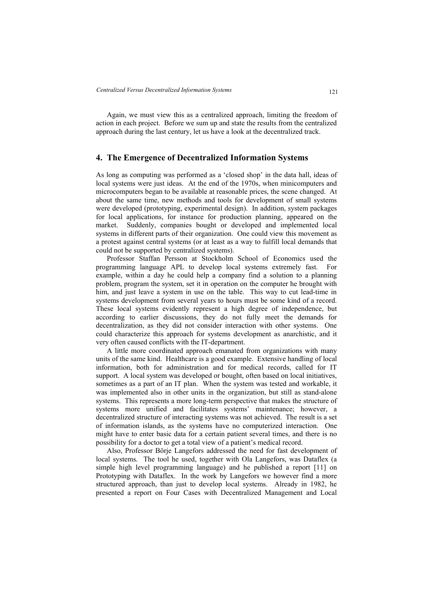Again, we must view this as a centralized approach, limiting the freedom of action in each project. Before we sum up and state the results from the centralized approach during the last century, let us have a look at the decentralized track.

## **4. The Emergence of Decentralized Information Systems**

As long as computing was performed as a 'closed shop' in the data hall, ideas of local systems were just ideas. At the end of the 1970s, when minicomputers and microcomputers began to be available at reasonable prices, the scene changed. At about the same time, new methods and tools for development of small systems were developed (prototyping, experimental design). In addition, system packages for local applications, for instance for production planning, appeared on the market. Suddenly, companies bought or developed and implemented local systems in different parts of their organization. One could view this movement as a protest against central systems (or at least as a way to fulfill local demands that could not be supported by centralized systems).

Professor Staffan Persson at Stockholm School of Economics used the programming language APL to develop local systems extremely fast. For example, within a day he could help a company find a solution to a planning problem, program the system, set it in operation on the computer he brought with him, and just leave a system in use on the table. This way to cut lead-time in systems development from several years to hours must be some kind of a record. These local systems evidently represent a high degree of independence, but according to earlier discussions, they do not fully meet the demands for decentralization, as they did not consider interaction with other systems. One could characterize this approach for systems development as anarchistic, and it very often caused conflicts with the IT-department.

A little more coordinated approach emanated from organizations with many units of the same kind. Healthcare is a good example. Extensive handling of local information, both for administration and for medical records, called for IT support. A local system was developed or bought, often based on local initiatives, sometimes as a part of an IT plan. When the system was tested and workable, it was implemented also in other units in the organization, but still as stand-alone systems. This represents a more long-term perspective that makes the structure of systems more unified and facilitates systems' maintenance; however, a decentralized structure of interacting systems was not achieved. The result is a set of information islands, as the systems have no computerized interaction. One might have to enter basic data for a certain patient several times, and there is no possibility for a doctor to get a total view of a patient's medical record.

Also, Professor Börje Langefors addressed the need for fast development of local systems. The tool he used, together with Ola Langefors, was Dataflex (a simple high level programming language) and he published a report [11] on Prototyping with Dataflex. In the work by Langefors we however find a more structured approach, than just to develop local systems. Already in 1982, he presented a report on Four Cases with Decentralized Management and Local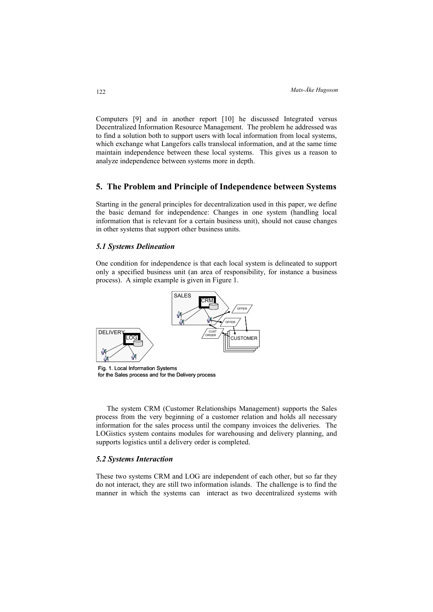Computers [9] and in another report [10] he discussed Integrated versus Decentralized Information Resource Management. The problem he addressed was to find a solution both to support users with local information from local systems, which exchange what Langefors calls translocal information, and at the same time maintain independence between these local systems. This gives us a reason to analyze independence between systems more in depth.

#### **5. The Problem and Principle of Independence between Systems**

Starting in the general principles for decentralization used in this paper, we define the basic demand for independence: Changes in one system (handling local information that is relevant for a certain business unit), should not cause changes in other systems that support other business units.

#### *5.1 Systems Delineation*

One condition for independence is that each local system is delineated to support only a specified business unit (an area of responsibility, for instance a business process). A simple example is given in Figure 1.



Fig. 1. Local Information Systems for the Sales process and for the Delivery process

The system CRM (Customer Relationships Management) supports the Sales process from the very beginning of a customer relation and holds all necessary information for the sales process until the company invoices the deliveries. The LOGistics system contains modules for warehousing and delivery planning, and supports logistics until a delivery order is completed.

#### *5.2 Systems Interaction*

These two systems CRM and LOG are independent of each other, but so far they do not interact, they are still two information islands. The challenge is to find the manner in which the systems can interact as two decentralized systems with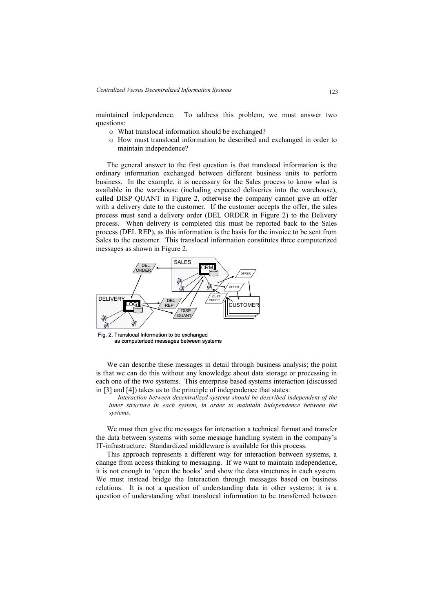maintained independence. To address this problem, we must answer two questions:

- o What translocal information should be exchanged?
- o How must translocal information be described and exchanged in order to maintain independence?

The general answer to the first question is that translocal information is the ordinary information exchanged between different business units to perform business. In the example, it is necessary for the Sales process to know what is available in the warehouse (including expected deliveries into the warehouse), called DISP QUANT in Figure 2, otherwise the company cannot give an offer with a delivery date to the customer. If the customer accepts the offer, the sales process must send a delivery order (DEL ORDER in Figure 2) to the Delivery process. When delivery is completed this must be reported back to the Sales process (DEL REP), as this information is the basis for the invoice to be sent from Sales to the customer. This translocal information constitutes three computerized messages as shown in Figure 2.



Fig. 2. Translocal Information to be exchanged as computerized messages between systems

We can describe these messages in detail through business analysis; the point is that we can do this without any knowledge about data storage or processing in each one of the two systems. This enterprise based systems interaction (discussed in [3] and [4]) takes us to the principle of independence that states:

*Interaction between decentralized systems should be described independent of the inner structure in each system, in order to maintain independence between the systems.* 

We must then give the messages for interaction a technical format and transfer the data between systems with some message handling system in the company's IT-infrastructure. Standardized middleware is available for this process.

This approach represents a different way for interaction between systems, a change from access thinking to messaging. If we want to maintain independence, it is not enough to 'open the books' and show the data structures in each system. We must instead bridge the Interaction through messages based on business relations. It is not a question of understanding data in other systems; it is a question of understanding what translocal information to be transferred between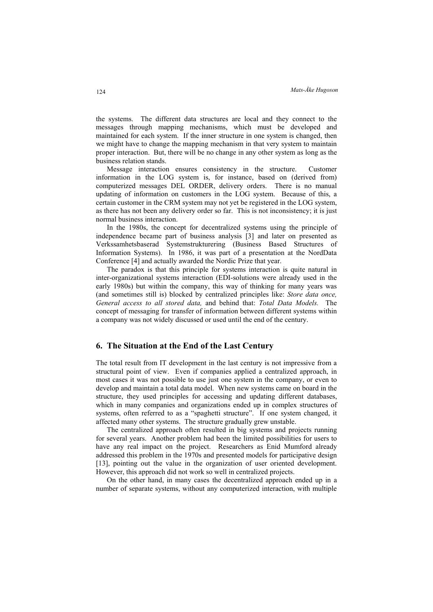the systems. The different data structures are local and they connect to the messages through mapping mechanisms, which must be developed and maintained for each system. If the inner structure in one system is changed, then we might have to change the mapping mechanism in that very system to maintain proper interaction. But, there will be no change in any other system as long as the business relation stands.

Message interaction ensures consistency in the structure. Customer information in the LOG system is, for instance, based on (derived from) computerized messages DEL ORDER, delivery orders. There is no manual updating of information on customers in the LOG system. Because of this, a certain customer in the CRM system may not yet be registered in the LOG system, as there has not been any delivery order so far. This is not inconsistency; it is just normal business interaction.

In the 1980s, the concept for decentralized systems using the principle of independence became part of business analysis [3] and later on presented as Verkssamhetsbaserad Systemstrukturering (Business Based Structures of Information Systems). In 1986, it was part of a presentation at the NordData Conference [4] and actually awarded the Nordic Prize that year.

The paradox is that this principle for systems interaction is quite natural in inter-organizational systems interaction (EDI-solutions were already used in the early 1980s) but within the company, this way of thinking for many years was (and sometimes still is) blocked by centralized principles like: *Store data once, General access to all stored data,* and behind that: *Total Data Models.* The concept of messaging for transfer of information between different systems within a company was not widely discussed or used until the end of the century.

## **6. The Situation at the End of the Last Century**

The total result from IT development in the last century is not impressive from a structural point of view. Even if companies applied a centralized approach, in most cases it was not possible to use just one system in the company, or even to develop and maintain a total data model. When new systems came on board in the structure, they used principles for accessing and updating different databases, which in many companies and organizations ended up in complex structures of systems, often referred to as a "spaghetti structure". If one system changed, it affected many other systems. The structure gradually grew unstable.

The centralized approach often resulted in big systems and projects running for several years. Another problem had been the limited possibilities for users to have any real impact on the project. Researchers as Enid Mumford already addressed this problem in the 1970s and presented models for participative design [13], pointing out the value in the organization of user oriented development. However, this approach did not work so well in centralized projects.

On the other hand, in many cases the decentralized approach ended up in a number of separate systems, without any computerized interaction, with multiple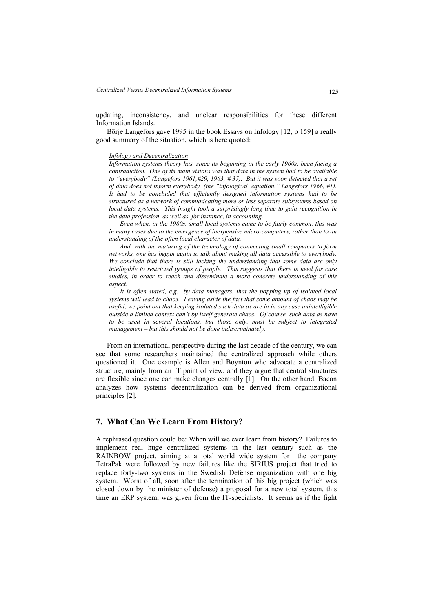updating, inconsistency, and unclear responsibilities for these different Information Islands.

Börje Langefors gave 1995 in the book Essays on Infology [12, p 159] a really good summary of the situation, which is here quoted:

#### *Infology and Decentralization*

*Information systems theory has, since its beginning in the early 1960s, been facing a contradiction. One of its main visions was that data in the system had to be available to "everybody" (Langefors 1961,#29, 1963, # 37). But it was soon detected that a set of data does not inform everybody (the "infological equation." Langefors 1966, #1). It had to be concluded that efficiently designed information systems had to be structured as a network of communicating more or less separate subsystems based on local data systems. This insight took a surprisingly long time to gain recognition in the data profession, as well as, for instance, in accounting.* 

*Even when, in the 1980s, small local systems came to be fairly common, this was in many cases due to the emergence of inexpensive micro-computers, rather than to an understanding of the often local character of data.* 

*And, with the maturing of the technology of connecting small computers to form networks, one has begun again to talk about making all data accessible to everybody. We conclude that there is still lacking the understanding that some data are only intelligible to restricted groups of people. This suggests that there is need for case studies, in order to reach and disseminate a more concrete understanding of this aspect.* 

*It is often stated, e.g. by data managers, that the popping up of isolated local systems will lead to chaos. Leaving aside the fact that some amount of chaos may be useful, we point out that keeping isolated such data as are in in any case unintelligible outside a limited context can't by itself generate chaos. Of course, such data as have*  to be used in several locations, but those only, must be subject to integrated *management – but this should not be done indiscriminately.* 

From an international perspective during the last decade of the century, we can see that some researchers maintained the centralized approach while others questioned it. One example is Allen and Boynton who advocate a centralized structure, mainly from an IT point of view, and they argue that central structures are flexible since one can make changes centrally [1]. On the other hand, Bacon analyzes how systems decentralization can be derived from organizational principles [2].

#### **7. What Can We Learn From History?**

A rephrased question could be: When will we ever learn from history? Failures to implement real huge centralized systems in the last century such as the RAINBOW project, aiming at a total world wide system for the company TetraPak were followed by new failures like the SIRIUS project that tried to replace forty-two systems in the Swedish Defense organization with one big system. Worst of all, soon after the termination of this big project (which was closed down by the minister of defense) a proposal for a new total system, this time an ERP system, was given from the IT-specialists. It seems as if the fight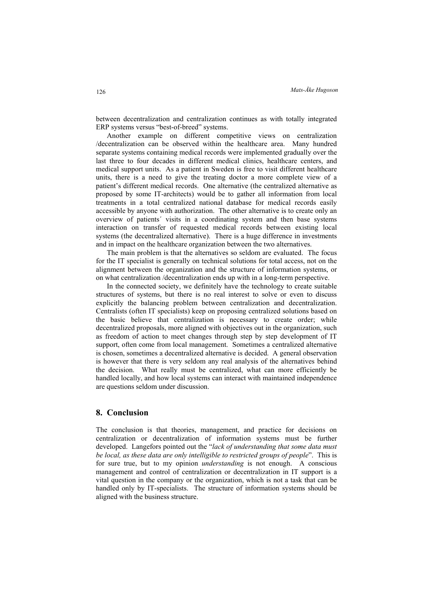between decentralization and centralization continues as with totally integrated ERP systems versus "best-of-breed" systems.

Another example on different competitive views on centralization /decentralization can be observed within the healthcare area. Many hundred separate systems containing medical records were implemented gradually over the last three to four decades in different medical clinics, healthcare centers, and medical support units. As a patient in Sweden is free to visit different healthcare units, there is a need to give the treating doctor a more complete view of a patient's different medical records. One alternative (the centralized alternative as proposed by some IT-architects) would be to gather all information from local treatments in a total centralized national database for medical records easily accessible by anyone with authorization. The other alternative is to create only an overview of patients´ visits in a coordinating system and then base systems interaction on transfer of requested medical records between existing local systems (the decentralized alternative). There is a huge difference in investments and in impact on the healthcare organization between the two alternatives.

The main problem is that the alternatives so seldom are evaluated. The focus for the IT specialist is generally on technical solutions for total access, not on the alignment between the organization and the structure of information systems, or on what centralization /decentralization ends up with in a long-term perspective.

In the connected society, we definitely have the technology to create suitable structures of systems, but there is no real interest to solve or even to discuss explicitly the balancing problem between centralization and decentralization. Centralists (often IT specialists) keep on proposing centralized solutions based on the basic believe that centralization is necessary to create order; while decentralized proposals, more aligned with objectives out in the organization, such as freedom of action to meet changes through step by step development of IT support, often come from local management. Sometimes a centralized alternative is chosen, sometimes a decentralized alternative is decided. A general observation is however that there is very seldom any real analysis of the alternatives behind the decision. What really must be centralized, what can more efficiently be handled locally, and how local systems can interact with maintained independence are questions seldom under discussion.

#### **8. Conclusion**

The conclusion is that theories, management, and practice for decisions on centralization or decentralization of information systems must be further developed. Langefors pointed out the "*lack of understanding that some data must be local, as these data are only intelligible to restricted groups of people*". This is for sure true, but to my opinion *understanding* is not enough. A conscious management and control of centralization or decentralization in IT support is a vital question in the company or the organization, which is not a task that can be handled only by IT-specialists. The structure of information systems should be aligned with the business structure.